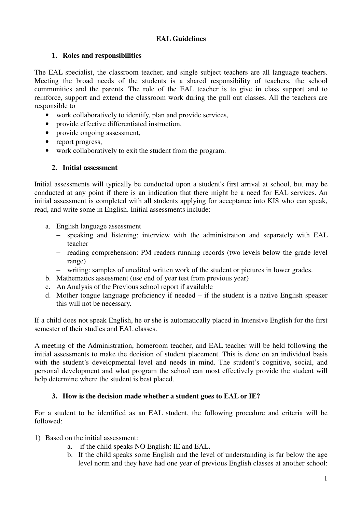## **EAL Guidelines**

## **1. Roles and responsibilities**

The EAL specialist, the classroom teacher, and single subject teachers are all language teachers. Meeting the broad needs of the students is a shared responsibility of teachers, the school communities and the parents. The role of the EAL teacher is to give in class support and to reinforce, support and extend the classroom work during the pull out classes. All the teachers are responsible to

- work collaboratively to identify, plan and provide services,
- provide effective differentiated instruction,
- provide ongoing assessment,
- report progress,
- work collaboratively to exit the student from the program.

### **2. Initial assessment**

Initial assessments will typically be conducted upon a student's first arrival at school, but may be conducted at any point if there is an indication that there might be a need for EAL services. An initial assessment is completed with all students applying for acceptance into KIS who can speak, read, and write some in English. Initial assessments include:

- a. English language assessment
	- − speaking and listening: interview with the administration and separately with EAL teacher
	- − reading comprehension: PM readers running records (two levels below the grade level range)
	- − writing: samples of unedited written work of the student or pictures in lower grades.
- b. Mathematics assessment (use end of year test from previous year)
- c. An Analysis of the Previous school report if available
- d. Mother tongue language proficiency if needed if the student is a native English speaker this will not be necessary.

If a child does not speak English, he or she is automatically placed in Intensive English for the first semester of their studies and EAL classes.

A meeting of the Administration, homeroom teacher, and EAL teacher will be held following the initial assessments to make the decision of student placement. This is done on an individual basis with the student's developmental level and needs in mind. The student's cognitive, social, and personal development and what program the school can most effectively provide the student will help determine where the student is best placed.

### **3. How is the decision made whether a student goes to EAL or IE?**

For a student to be identified as an EAL student, the following procedure and criteria will be followed:

- 1) Based on the initial assessment:
	- a. if the child speaks NO English: IE and EAL.
	- b. If the child speaks some English and the level of understanding is far below the age level norm and they have had one year of previous English classes at another school: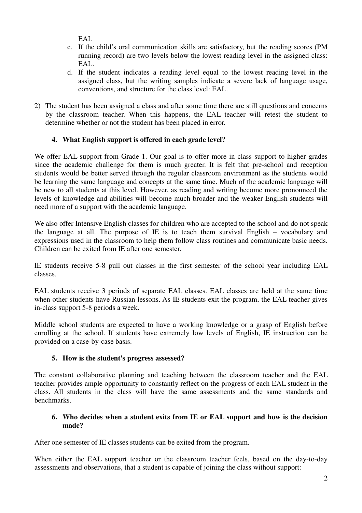EAL.

- c. If the child's oral communication skills are satisfactory, but the reading scores (PM running record) are two levels below the lowest reading level in the assigned class: EAL.
- d. If the student indicates a reading level equal to the lowest reading level in the assigned class, but the writing samples indicate a severe lack of language usage, conventions, and structure for the class level: EAL.
- 2) The student has been assigned a class and after some time there are still questions and concerns by the classroom teacher. When this happens, the EAL teacher will retest the student to determine whether or not the student has been placed in error.

# **4. What English support is offered in each grade level?**

We offer EAL support from Grade 1. Our goal is to offer more in class support to higher grades since the academic challenge for them is much greater. It is felt that pre-school and reception students would be better served through the regular classroom environment as the students would be learning the same language and concepts at the same time. Much of the academic language will be new to all students at this level. However, as reading and writing become more pronounced the levels of knowledge and abilities will become much broader and the weaker English students will need more of a support with the academic language.

We also offer Intensive English classes for children who are accepted to the school and do not speak the language at all. The purpose of IE is to teach them survival English – vocabulary and expressions used in the classroom to help them follow class routines and communicate basic needs. Children can be exited from IE after one semester.

IE students receive 5-8 pull out classes in the first semester of the school year including EAL classes.

EAL students receive 3 periods of separate EAL classes. EAL classes are held at the same time when other students have Russian lessons. As IE students exit the program, the EAL teacher gives in-class support 5-8 periods a week.

Middle school students are expected to have a working knowledge or a grasp of English before enrolling at the school. If students have extremely low levels of English, IE instruction can be provided on a case-by-case basis.

## **5. How is the student's progress assessed?**

The constant collaborative planning and teaching between the classroom teacher and the EAL teacher provides ample opportunity to constantly reflect on the progress of each EAL student in the class. All students in the class will have the same assessments and the same standards and benchmarks.

### **6. Who decides when a student exits from IE or EAL support and how is the decision made?**

After one semester of IE classes students can be exited from the program.

When either the EAL support teacher or the classroom teacher feels, based on the day-to-day assessments and observations, that a student is capable of joining the class without support: